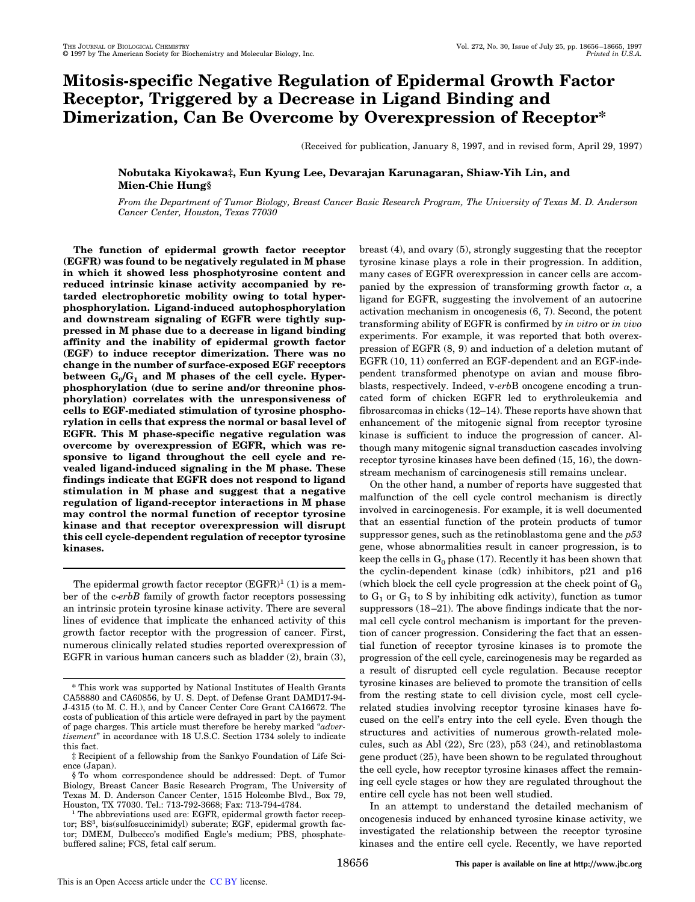# **Mitosis-specific Negative Regulation of Epidermal Growth Factor Receptor, Triggered by a Decrease in Ligand Binding and Dimerization, Can Be Overcome by Overexpression of Receptor\***

(Received for publication, January 8, 1997, and in revised form, April 29, 1997)

## **Nobutaka Kiyokawa‡, Eun Kyung Lee, Devarajan Karunagaran, Shiaw-Yih Lin, and Mien-Chie Hung§**

*From the Department of Tumor Biology, Breast Cancer Basic Research Program, The University of Texas M. D. Anderson Cancer Center, Houston, Texas 77030*

**The function of epidermal growth factor receptor (EGFR) was found to be negatively regulated in M phase in which it showed less phosphotyrosine content and reduced intrinsic kinase activity accompanied by retarded electrophoretic mobility owing to total hyperphosphorylation. Ligand-induced autophosphorylation and downstream signaling of EGFR were tightly suppressed in M phase due to a decrease in ligand binding affinity and the inability of epidermal growth factor (EGF) to induce receptor dimerization. There was no change in the number of surface-exposed EGF receptors between G<sup>0</sup> /G<sup>1</sup> and M phases of the cell cycle. Hyperphosphorylation (due to serine and/or threonine phosphorylation) correlates with the unresponsiveness of cells to EGF-mediated stimulation of tyrosine phosphorylation in cells that express the normal or basal level of EGFR. This M phase-specific negative regulation was overcome by overexpression of EGFR, which was responsive to ligand throughout the cell cycle and revealed ligand-induced signaling in the M phase. These findings indicate that EGFR does not respond to ligand stimulation in M phase and suggest that a negative regulation of ligand-receptor interactions in M phase may control the normal function of receptor tyrosine kinase and that receptor overexpression will disrupt this cell cycle-dependent regulation of receptor tyrosine kinases.**

The epidermal growth factor receptor  $(EGFR)^1$  (1) is a member of the c-*erbB* family of growth factor receptors possessing an intrinsic protein tyrosine kinase activity. There are several lines of evidence that implicate the enhanced activity of this growth factor receptor with the progression of cancer. First, numerous clinically related studies reported overexpression of EGFR in various human cancers such as bladder (2), brain (3), breast (4), and ovary (5), strongly suggesting that the receptor tyrosine kinase plays a role in their progression. In addition, many cases of EGFR overexpression in cancer cells are accompanied by the expression of transforming growth factor  $\alpha$ , a ligand for EGFR, suggesting the involvement of an autocrine activation mechanism in oncogenesis (6, 7). Second, the potent transforming ability of EGFR is confirmed by *in vitro* or *in vivo* experiments. For example, it was reported that both overexpression of EGFR (8, 9) and induction of a deletion mutant of EGFR (10, 11) conferred an EGF-dependent and an EGF-independent transformed phenotype on avian and mouse fibroblasts, respectively. Indeed, v-*erb*B oncogene encoding a truncated form of chicken EGFR led to erythroleukemia and fibrosarcomas in chicks (12–14). These reports have shown that enhancement of the mitogenic signal from receptor tyrosine kinase is sufficient to induce the progression of cancer. Although many mitogenic signal transduction cascades involving receptor tyrosine kinases have been defined (15, 16), the downstream mechanism of carcinogenesis still remains unclear.

On the other hand, a number of reports have suggested that malfunction of the cell cycle control mechanism is directly involved in carcinogenesis. For example, it is well documented that an essential function of the protein products of tumor suppressor genes, such as the retinoblastoma gene and the *p53* gene, whose abnormalities result in cancer progression, is to keep the cells in  $G_0$  phase (17). Recently it has been shown that the cyclin-dependent kinase (cdk) inhibitors, p21 and p16 (which block the cell cycle progression at the check point of  $G_0$ to  $G_1$  or  $G_1$  to S by inhibiting cdk activity), function as tumor suppressors (18–21). The above findings indicate that the normal cell cycle control mechanism is important for the prevention of cancer progression. Considering the fact that an essential function of receptor tyrosine kinases is to promote the progression of the cell cycle, carcinogenesis may be regarded as a result of disrupted cell cycle regulation. Because receptor tyrosine kinases are believed to promote the transition of cells from the resting state to cell division cycle, most cell cyclerelated studies involving receptor tyrosine kinases have focused on the cell's entry into the cell cycle. Even though the structures and activities of numerous growth-related molecules, such as Abl (22), Src (23), p53 (24), and retinoblastoma gene product (25), have been shown to be regulated throughout the cell cycle, how receptor tyrosine kinases affect the remaining cell cycle stages or how they are regulated throughout the entire cell cycle has not been well studied.

In an attempt to understand the detailed mechanism of oncogenesis induced by enhanced tyrosine kinase activity, we investigated the relationship between the receptor tyrosine kinases and the entire cell cycle. Recently, we have reported

<sup>\*</sup> This work was supported by National Institutes of Health Grants CA58880 and CA60856, by U. S. Dept. of Defense Grant DAMD17-94- J-4315 (to M. C. H.), and by Cancer Center Core Grant CA16672. The costs of publication of this article were defrayed in part by the payment of page charges. This article must therefore be hereby marked "*advertisement*" in accordance with 18 U.S.C. Section 1734 solely to indicate this fact.

<sup>‡</sup> Recipient of a fellowship from the Sankyo Foundation of Life Science (Japan).

<sup>§</sup> To whom correspondence should be addressed: Dept. of Tumor Biology, Breast Cancer Basic Research Program, The University of Texas M. D. Anderson Cancer Center, 1515 Holcombe Blvd., Box 79, Houston, TX 77030. Tel.: 713-792-3668; Fax: 713-794-4784.

<sup>&</sup>lt;sup>1</sup> The abbreviations used are: EGFR, epidermal growth factor receptor; BS<sup>3</sup>, bis(sulfosuccinimidyl) suberate; EGF, epidermal growth factor; DMEM, Dulbecco's modified Eagle's medium; PBS, phosphatebuffered saline; FCS, fetal calf serum.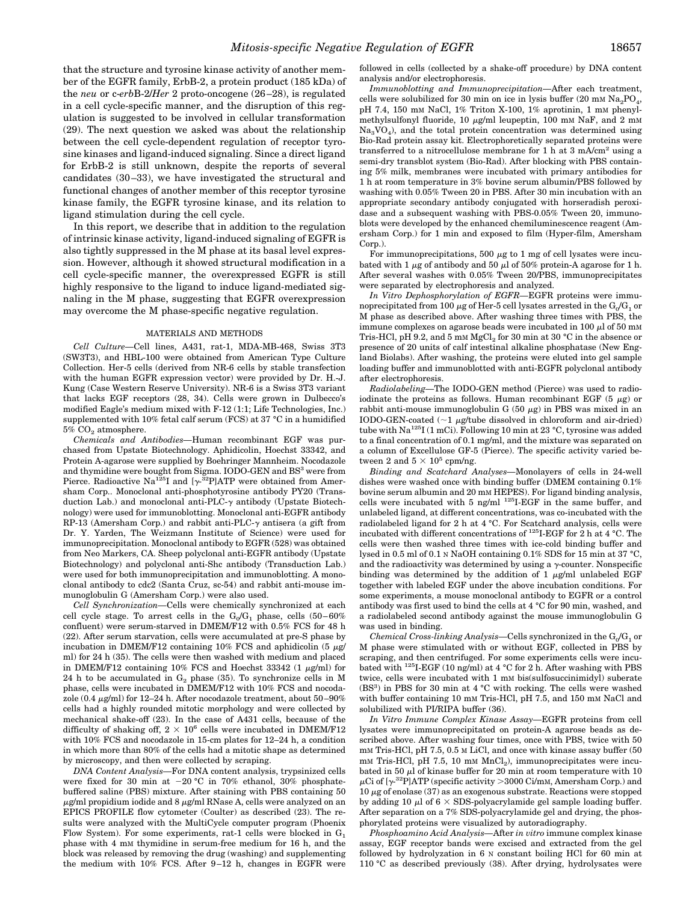that the structure and tyrosine kinase activity of another member of the EGFR family, ErbB-2, a protein product (185 kDa) of the *neu* or c-*erb*B-2/*Her* 2 proto-oncogene (26–28), is regulated in a cell cycle-specific manner, and the disruption of this regulation is suggested to be involved in cellular transformation (29). The next question we asked was about the relationship between the cell cycle-dependent regulation of receptor tyrosine kinases and ligand-induced signaling. Since a direct ligand for ErbB-2 is still unknown, despite the reports of several candidates (30–33), we have investigated the structural and functional changes of another member of this receptor tyrosine kinase family, the EGFR tyrosine kinase, and its relation to ligand stimulation during the cell cycle.

In this report, we describe that in addition to the regulation of intrinsic kinase activity, ligand-induced signaling of EGFR is also tightly suppressed in the M phase at its basal level expression. However, although it showed structural modification in a cell cycle-specific manner, the overexpressed EGFR is still highly responsive to the ligand to induce ligand-mediated signaling in the M phase, suggesting that EGFR overexpression may overcome the M phase-specific negative regulation.

#### MATERIALS AND METHODS

*Cell Culture—*Cell lines, A431, rat-1, MDA-MB-468, Swiss 3T3 (SW3T3), and HBL-100 were obtained from American Type Culture Collection. Her-5 cells (derived from NR-6 cells by stable transfection with the human EGFR expression vector) were provided by Dr. H.-J. Kung (Case Western Reserve University). NR-6 is a Swiss 3T3 variant that lacks EGF receptors (28, 34). Cells were grown in Dulbecco's modified Eagle's medium mixed with F-12 (1:1; Life Technologies, Inc.) supplemented with 10% fetal calf serum (FCS) at 37 °C in a humidified  $5\%$  CO<sub>2</sub> atmosphere.

*Chemicals and Antibodies—*Human recombinant EGF was purchased from Upstate Biotechnology. Aphidicolin, Hoechst 33342, and Protein A-agarose were supplied by Boehringer Mannheim. Nocodazole and thymidine were bought from Sigma. IODO-GEN and BS<sup>3</sup> were from Pierce. Radioactive Na<sup>125</sup>I and [ $\gamma$ <sup>32</sup>P]ATP were obtained from Amersham Corp.. Monoclonal anti-phosphotyrosine antibody PY20 (Transduction Lab.) and monoclonal anti-PLC- $\gamma$  antibody (Upstate Biotechnology) were used for immunoblotting. Monoclonal anti-EGFR antibody RP-13 (Amersham Corp.) and rabbit anti-PLC- $\gamma$  antisera (a gift from Dr. Y. Yarden, The Weizmann Institute of Science) were used for immunoprecipitation. Monoclonal antibody to EGFR (528) was obtained from Neo Markers, CA. Sheep polyclonal anti-EGFR antibody (Upstate Biotechnology) and polyclonal anti-Shc antibody (Transduction Lab.) were used for both immunoprecipitation and immunoblotting. A monoclonal antibody to cdc2 (Santa Cruz, sc-54) and rabbit anti-mouse immunoglobulin G (Amersham Corp.) were also used.

*Cell Synchronization—*Cells were chemically synchronized at each cell cycle stage. To arrest cells in the  $G_0/G_1$  phase, cells  $(50-60\%$ confluent) were serum-starved in DMEM/F12 with 0.5% FCS for 48 h (22). After serum starvation, cells were accumulated at pre-S phase by incubation in DMEM/F12 containing 10% FCS and aphidicolin (5  $\mu$ g/ ml) for 24 h (35). The cells were then washed with medium and placed in DMEM/F12 containing 10% FCS and Hoechst 33342 (1  $\mu$ g/ml) for 24 h to be accumulated in  $G_2$  phase (35). To synchronize cells in M phase, cells were incubated in DMEM/F12 with 10% FCS and nocodazole (0.4  $\mu\text{g/ml})$  for 12–24 h. After nocodazole treatment, about 50–90% cells had a highly rounded mitotic morphology and were collected by mechanical shake-off (23). In the case of A431 cells, because of the difficulty of shaking off,  $2 \times 10^6$  cells were incubated in DMEM/F12 with 10% FCS and nocodazole in 15-cm plates for 12–24 h, a condition in which more than 80% of the cells had a mitotic shape as determined by microscopy, and then were collected by scraping.

*DNA Content Analysis—*For DNA content analysis, trypsinized cells were fixed for 30 min at  $-20$  °C in 70% ethanol, 30% phosphatebuffered saline (PBS) mixture. After staining with PBS containing 50  $\mu$ g/ml propidium iodide and 8  $\mu$ g/ml RNase A, cells were analyzed on an EPICS PROFILE flow cytometer (Coulter) as described (23). The results were analyzed with the MultiCycle computer program (Phoenix Flow System). For some experiments, rat-1 cells were blocked in  $G_1$ phase with 4 mM thymidine in serum-free medium for 16 h, and the block was released by removing the drug (washing) and supplementing the medium with 10% FCS. After 9–12 h, changes in EGFR were followed in cells (collected by a shake-off procedure) by DNA content analysis and/or electrophoresis.

*Immunoblotting and Immunoprecipitation—*After each treatment, cells were solubilized for 30 min on ice in lysis buffer (20 mm  $\mathrm{Na_2PO_4},$ pH 7.4, 150 mM NaCl, 1% Triton X-100, 1% aprotinin, 1 mM phenylmethylsulfonyl fluoride, 10  $\mu$ g/ml leupeptin, 100 mm NaF, and 2 mm Na3VO<sup>4</sup> ), and the total protein concentration was determined using Bio-Rad protein assay kit. Electrophoretically separated proteins were transferred to a nitrocellulose membrane for 1 h at  $3 \text{ mA/cm}^2$  using a semi-dry transblot system (Bio-Rad). After blocking with PBS containing 5% milk, membranes were incubated with primary antibodies for 1 h at room temperature in 3% bovine serum albumin/PBS followed by washing with 0.05% Tween 20 in PBS. After 30 min incubation with an appropriate secondary antibody conjugated with horseradish peroxidase and a subsequent washing with PBS-0.05% Tween 20, immunoblots were developed by the enhanced chemiluminescence reagent (Amersham Corp.) for 1 min and exposed to film (Hyper-film, Amersham Corp.).

For immunoprecipitations, 500  $\mu$ g to 1 mg of cell lysates were incubated with 1  $\mu$ g of antibody and 50  $\mu$ l of 50% protein-A agarose for 1 h. After several washes with 0.05% Tween 20/PBS, immunoprecipitates were separated by electrophoresis and analyzed.

*In Vitro Dephosphorylation of EGFR—*EGFR proteins were immunoprecipitated from 100  $\mu$ g of Her-5 cell lysates arrested in the  $\rm G_{0}/G_{1}$  or M phase as described above. After washing three times with PBS, the immune complexes on agarose beads were incubated in 100  $\mu$ l of 50 mM Tris-HCl, pH 9.2, and 5 mm  ${\rm MgCl}_2$  for 30 min at 30 °C in the absence or presence of 20 units of calf intestinal alkaline phosphatase (New England Biolabs). After washing, the proteins were eluted into gel sample loading buffer and immunoblotted with anti-EGFR polyclonal antibody after electrophoresis.

*Radiolabeling—*The IODO-GEN method (Pierce) was used to radioiodinate the proteins as follows. Human recombinant EGF (5  $\mu$ g) or rabbit anti-mouse immunoglobulin G (50  $\mu$ g) in PBS was mixed in an IODO-GEN-coated  $(\sim1 \mu g/tube$  dissolved in chloroform and air-dried) tube with  $\text{Na}^{125}$ I (1 mCi). Following 10 min at 23 °C, tyrosine was added to a final concentration of 0.1 mg/ml, and the mixture was separated on a column of Excellulose GF-5 (Pierce). The specific activity varied between 2 and  $5 \times 10^5$  cpm/ng.

*Binding and Scatchard Analyses—*Monolayers of cells in 24-well dishes were washed once with binding buffer (DMEM containing 0.1% bovine serum albumin and 20 mM HEPES). For ligand binding analysis, cells were incubated with 5 ng/ml <sup>125</sup>I-EGF in the same buffer, and unlabeled ligand, at different concentrations, was co-incubated with the radiolabeled ligand for 2 h at 4 °C. For Scatchard analysis, cells were incubated with different concentrations of <sup>125</sup>I-EGF for 2 h at 4 °C. The cells were then washed three times with ice-cold binding buffer and lysed in 0.5 ml of 0.1 N NaOH containing 0.1% SDS for 15 min at 37 °C, and the radioactivity was determined by using a  $\gamma$ -counter. Nonspecific binding was determined by the addition of  $1 \mu$ g/ml unlabeled EGF together with labeled EGF under the above incubation conditions. For some experiments, a mouse monoclonal antibody to EGFR or a control antibody was first used to bind the cells at 4 °C for 90 min, washed, and a radiolabeled second antibody against the mouse immunoglobulin G was used in binding.

 $\emph{Chemical Cross-linking Analysis—Cells synchronized in the G$_0$/G$_1$ or }$ M phase were stimulated with or without EGF, collected in PBS by scraping, and then centrifuged. For some experiments cells were incubated with <sup>125</sup>I-EGF (10 ng/ml) at 4 °C for 2 h. After washing with PBS twice, cells were incubated with 1 mM bis(sulfosuccinimidyl) suberate (BS<sup>3</sup>) in PBS for 30 min at 4 °C with rocking. The cells were washed with buffer containing 10 mM Tris-HCl, pH 7.5, and 150 mM NaCl and solubilized with PI/RIPA buffer (36).

*In Vitro Immune Complex Kinase Assay—*EGFR proteins from cell lysates were immunoprecipitated on protein-A agarose beads as described above. After washing four times, once with PBS, twice with 50 mM Tris-HCl, pH 7.5, 0.5 M LiCl, and once with kinase assay buffer (50 mM Tris-HCl, pH 7.5, 10 mM  $MnCl<sub>2</sub>$ ), immunoprecipitates were incubated in 50  $\mu$ l of kinase buffer for 20 min at room temperature with 10  $\mu$ Ci of [ $\gamma$ <sup>-32</sup>P]ATP (specific activity > 3000 Ci/mM, Amersham Corp.) and  $10 \mu$ g of enolase (37) as an exogenous substrate. Reactions were stopped by adding 10  $\mu$ l of 6  $\times$  SDS-polyacrylamide gel sample loading buffer. After separation on a 7% SDS-polyacrylamide gel and drying, the phosphorylated proteins were visualized by autoradiography.

*Phosphoamino Acid Analysis—*After *in vitro* immune complex kinase assay, EGF receptor bands were excised and extracted from the gel followed by hydrolyzation in 6 N constant boiling HCl for 60 min at 110 °C as described previously (38). After drying, hydrolysates were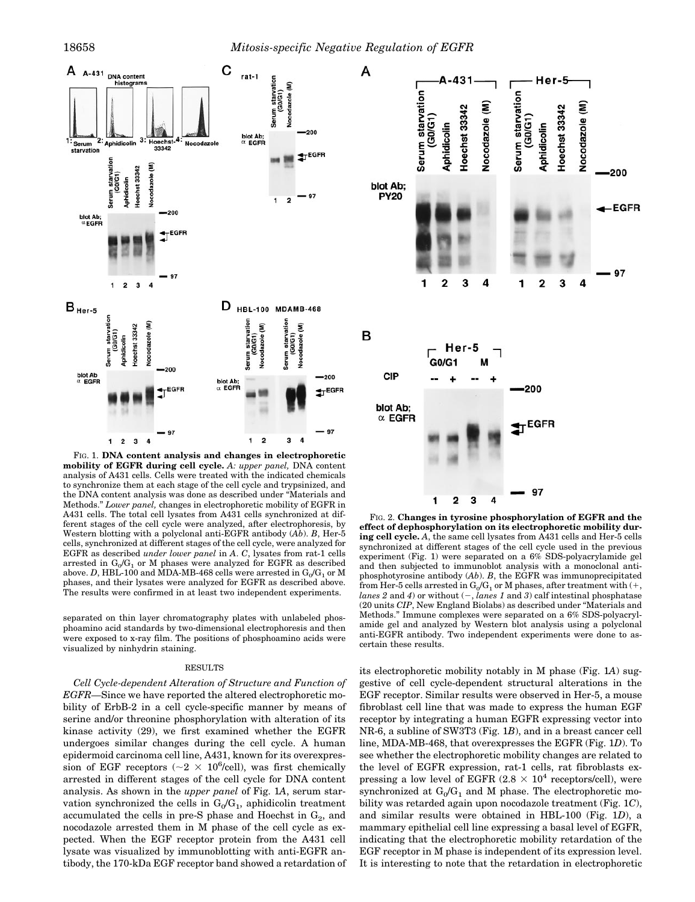

FIG. 1. **DNA content analysis and changes in electrophoretic mobility of EGFR during cell cycle.** *A: upper panel,* DNA content analysis of A431 cells. Cells were treated with the indicated chemicals to synchronize them at each stage of the cell cycle and trypsinized, and the DNA content analysis was done as described under "Materials and Methods." *Lower panel,* changes in electrophoretic mobility of EGFR in A431 cells. The total cell lysates from A431 cells synchronized at different stages of the cell cycle were analyzed, after electrophoresis, by Western blotting with a polyclonal anti-EGFR antibody (*Ab*). *B*, Her-5 cells, synchronized at different stages of the cell cycle, were analyzed for EGFR as described *under lower panel* in *A*. *C*, lysates from rat-1 cells arrested in  $G_0/G_1$  or M phases were analyzed for EGFR as described above. *D*, HBL-100 and MDA-MB-468 cells were arrested in  $\mathrm{G}_{0}/\mathrm{G}_{1}$  or M phases, and their lysates were analyzed for EGFR as described above. The results were confirmed in at least two independent experiments.

separated on thin layer chromatography plates with unlabeled phosphoamino acid standards by two-dimensional electrophoresis and then were exposed to x-ray film. The positions of phosphoamino acids were visualized by ninhydrin staining.

#### RESULTS

*Cell Cycle-dependent Alteration of Structure and Function of EGFR—*Since we have reported the altered electrophoretic mobility of ErbB-2 in a cell cycle-specific manner by means of serine and/or threonine phosphorylation with alteration of its kinase activity (29), we first examined whether the EGFR undergoes similar changes during the cell cycle. A human epidermoid carcinoma cell line, A431, known for its overexpression of EGF receptors ( $\sim$ 2 × 10<sup>6</sup>/cell), was first chemically arrested in different stages of the cell cycle for DNA content analysis. As shown in the *upper panel* of Fig. 1*A*, serum starvation synchronized the cells in  $G_0/G_1$ , aphidicolin treatment accumulated the cells in pre-S phase and Hoechst in  $G_2$ , and nocodazole arrested them in M phase of the cell cycle as expected. When the EGF receptor protein from the A431 cell lysate was visualized by immunoblotting with anti-EGFR antibody, the 170-kDa EGF receptor band showed a retardation of



FIG. 2. **Changes in tyrosine phosphorylation of EGFR and the effect of dephosphorylation on its electrophoretic mobility during cell cycle.** *A*, the same cell lysates from A431 cells and Her-5 cells synchronized at different stages of the cell cycle used in the previous experiment (Fig. 1) were separated on a 6% SDS-polyacrylamide gel and then subjected to immunoblot analysis with a monoclonal antiphosphotyrosine antibody (*Ab*). *B*, the EGFR was immunoprecipitated from Her-5 cells arrested in  $\mathrm{G}_{0}/\mathrm{G}_{1}$  or M phases, after treatment with (+, *lanes 2* and *4*) or without  $(-, \text{lines } 1 \text{ and } 3)$  calf intestinal phosphatase (20 units *CIP*, New England Biolabs) as described under "Materials and Methods." Immune complexes were separated on a 6% SDS-polyacrylamide gel and analyzed by Western blot analysis using a polyclonal anti-EGFR antibody. Two independent experiments were done to ascertain these results.

its electrophoretic mobility notably in M phase (Fig. 1*A*) suggestive of cell cycle-dependent structural alterations in the EGF receptor. Similar results were observed in Her-5, a mouse fibroblast cell line that was made to express the human EGF receptor by integrating a human EGFR expressing vector into NR-6, a subline of SW3T3 (Fig. 1*B*), and in a breast cancer cell line, MDA-MB-468, that overexpresses the EGFR (Fig. 1*D*). To see whether the electrophoretic mobility changes are related to the level of EGFR expression, rat-1 cells, rat fibroblasts expressing a low level of EGFR  $(2.8 \times 10^4 \text{ receptors/cell})$ , were synchronized at  $G_0/G_1$  and M phase. The electrophoretic mobility was retarded again upon nocodazole treatment (Fig. 1*C*), and similar results were obtained in HBL-100 (Fig. 1*D*), a mammary epithelial cell line expressing a basal level of EGFR, indicating that the electrophoretic mobility retardation of the EGF receptor in M phase is independent of its expression level. It is interesting to note that the retardation in electrophoretic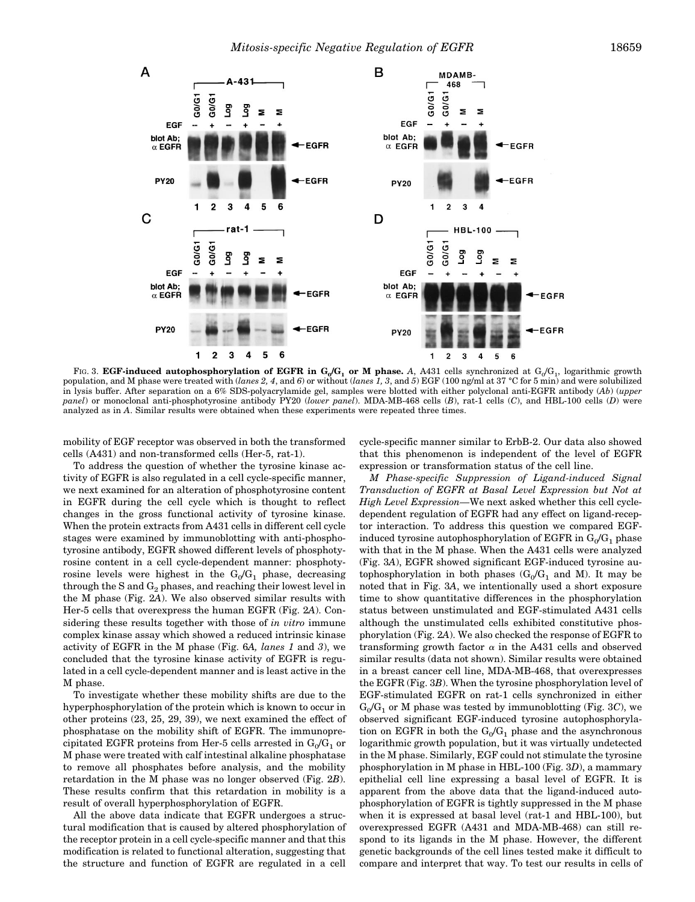

FIG. 3. **EGF-induced autophosphorylation of EGFR in**  $G_0/G_1$  **or M phase. A, A431 cells synchronized at**  $G_0/G_1$ **, logarithmic growth** population, and M phase were treated with (*lanes 2, 4*, and *6*) or without (*lanes 1, 3*, and *5*) EGF (100 ng/ml at 37 °C for 5 min) and were solubilized in lysis buffer. After separation on a 6% SDS-polyacrylamide gel, samples were blotted with either polyclonal anti-EGFR antibody (*Ab*) (*upper panel*) or monoclonal anti-phosphotyrosine antibody PY20 (*lower panel*). MDA-MB-468 cells (*B*), rat-1 cells (*C*), and HBL-100 cells (*D*) were analyzed as in *A*. Similar results were obtained when these experiments were repeated three times.

mobility of EGF receptor was observed in both the transformed cells (A431) and non-transformed cells (Her-5, rat-1).

To address the question of whether the tyrosine kinase activity of EGFR is also regulated in a cell cycle-specific manner, we next examined for an alteration of phosphotyrosine content in EGFR during the cell cycle which is thought to reflect changes in the gross functional activity of tyrosine kinase. When the protein extracts from A431 cells in different cell cycle stages were examined by immunoblotting with anti-phosphotyrosine antibody, EGFR showed different levels of phosphotyrosine content in a cell cycle-dependent manner: phosphotyrosine levels were highest in the  $G_0/G_1$  phase, decreasing through the S and  $G_2$  phases, and reaching their lowest level in the M phase (Fig. 2*A*). We also observed similar results with Her-5 cells that overexpress the human EGFR (Fig. 2*A*). Considering these results together with those of *in vitro* immune complex kinase assay which showed a reduced intrinsic kinase activity of EGFR in the M phase (Fig. 6*A, lanes 1* and *3*), we concluded that the tyrosine kinase activity of EGFR is regulated in a cell cycle-dependent manner and is least active in the M phase.

To investigate whether these mobility shifts are due to the hyperphosphorylation of the protein which is known to occur in other proteins (23, 25, 29, 39), we next examined the effect of phosphatase on the mobility shift of EGFR. The immunoprecipitated EGFR proteins from Her-5 cells arrested in  $\mathrm{G}_{0}/\mathrm{G}_{1}$  or M phase were treated with calf intestinal alkaline phosphatase to remove all phosphates before analysis, and the mobility retardation in the M phase was no longer observed (Fig. 2*B*). These results confirm that this retardation in mobility is a result of overall hyperphosphorylation of EGFR.

All the above data indicate that EGFR undergoes a structural modification that is caused by altered phosphorylation of the receptor protein in a cell cycle-specific manner and that this modification is related to functional alteration, suggesting that the structure and function of EGFR are regulated in a cell

cycle-specific manner similar to ErbB-2. Our data also showed that this phenomenon is independent of the level of EGFR expression or transformation status of the cell line.

*M Phase-specific Suppression of Ligand-induced Signal Transduction of EGFR at Basal Level Expression but Not at High Level Expression—*We next asked whether this cell cycledependent regulation of EGFR had any effect on ligand-receptor interaction. To address this question we compared EGFinduced tyrosine autophosphorylation of EGFR in  $\mathrm{G_{0}/G_{1}}$  phase with that in the M phase. When the A431 cells were analyzed (Fig. 3*A*), EGFR showed significant EGF-induced tyrosine autophosphorylation in both phases  $(G_0/G_1$  and M). It may be noted that in Fig. 3*A*, we intentionally used a short exposure time to show quantitative differences in the phosphorylation status between unstimulated and EGF-stimulated A431 cells although the unstimulated cells exhibited constitutive phosphorylation (Fig. 2*A*). We also checked the response of EGFR to transforming growth factor  $\alpha$  in the A431 cells and observed similar results (data not shown). Similar results were obtained in a breast cancer cell line, MDA-MB-468, that overexpresses the EGFR (Fig. 3*B*). When the tyrosine phosphorylation level of EGF-stimulated EGFR on rat-1 cells synchronized in either  $\mathrm{G}_{0}/\mathrm{G}_{1}$  or M phase was tested by immunoblotting (Fig. 3C), we observed significant EGF-induced tyrosine autophosphorylation on EGFR in both the  $G_0/G_1$  phase and the asynchronous logarithmic growth population, but it was virtually undetected in the M phase. Similarly, EGF could not stimulate the tyrosine phosphorylation in M phase in HBL-100 (Fig. 3*D*), a mammary epithelial cell line expressing a basal level of EGFR. It is apparent from the above data that the ligand-induced autophosphorylation of EGFR is tightly suppressed in the M phase when it is expressed at basal level (rat-1 and HBL-100), but overexpressed EGFR (A431 and MDA-MB-468) can still respond to its ligands in the M phase. However, the different genetic backgrounds of the cell lines tested make it difficult to compare and interpret that way. To test our results in cells of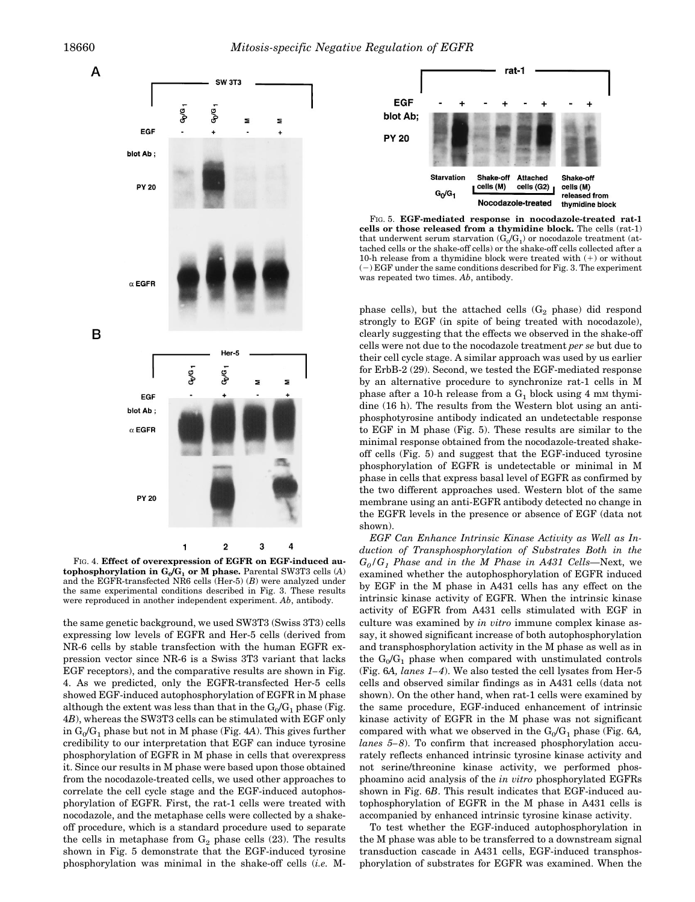

FIG. 4. **Effect of overexpression of EGFR on EGF-induced autophosphorylation in G<sup>0</sup> /G<sup>1</sup> or M phase.** Parental SW3T3 cells (*A*) and the EGFR-transfected NR6 cells (Her-5) (*B*) were analyzed under the same experimental conditions described in Fig. 3. These results were reproduced in another independent experiment. *Ab*, antibody.

the same genetic background, we used SW3T3 (Swiss 3T3) cells expressing low levels of EGFR and Her-5 cells (derived from NR-6 cells by stable transfection with the human EGFR expression vector since NR-6 is a Swiss 3T3 variant that lacks EGF receptors), and the comparative results are shown in Fig. 4. As we predicted, only the EGFR-transfected Her-5 cells showed EGF-induced autophosphorylation of EGFR in M phase although the extent was less than that in the  $G_0/G_1$  phase (Fig. 4*B*), whereas the SW3T3 cells can be stimulated with EGF only in  $G_0/G_1$  phase but not in M phase (Fig. 4A). This gives further credibility to our interpretation that EGF can induce tyrosine phosphorylation of EGFR in M phase in cells that overexpress it. Since our results in M phase were based upon those obtained from the nocodazole-treated cells, we used other approaches to correlate the cell cycle stage and the EGF-induced autophosphorylation of EGFR. First, the rat-1 cells were treated with nocodazole, and the metaphase cells were collected by a shakeoff procedure, which is a standard procedure used to separate the cells in metaphase from  $G_2$  phase cells (23). The results shown in Fig. 5 demonstrate that the EGF-induced tyrosine phosphorylation was minimal in the shake-off cells (*i.e.* M-



FIG. 5. **EGF-mediated response in nocodazole-treated rat-1 cells or those released from a thymidine block.** The cells (rat-1) that underwent serum starvation ( $\mathrm{G_{0}/G_{1}}$ ) or nocodazole treatment (attached cells or the shake-off cells) or the shake-off cells collected after a 10-h release from a thymidine block were treated with  $(+)$  or without  $(-)$  EGF under the same conditions described for Fig. 3. The experiment was repeated two times. *Ab*, antibody.

phase cells), but the attached cells  $(G_2)$  phase) did respond strongly to EGF (in spite of being treated with nocodazole), clearly suggesting that the effects we observed in the shake-off cells were not due to the nocodazole treatment *per se* but due to their cell cycle stage. A similar approach was used by us earlier for ErbB-2 (29). Second, we tested the EGF-mediated response by an alternative procedure to synchronize rat-1 cells in M phase after a 10-h release from a  $G_1$  block using 4 mm thymidine (16 h). The results from the Western blot using an antiphosphotyrosine antibody indicated an undetectable response to EGF in M phase (Fig. 5). These results are similar to the minimal response obtained from the nocodazole-treated shakeoff cells (Fig. 5) and suggest that the EGF-induced tyrosine phosphorylation of EGFR is undetectable or minimal in M phase in cells that express basal level of EGFR as confirmed by the two different approaches used. Western blot of the same membrane using an anti-EGFR antibody detected no change in the EGFR levels in the presence or absence of EGF (data not shown).

*EGF Can Enhance Intrinsic Kinase Activity as Well as Induction of Transphosphorylation of Substrates Both in the G0/G<sup>1</sup> Phase and in the M Phase in A431 Cells—*Next, we examined whether the autophosphorylation of EGFR induced by EGF in the M phase in A431 cells has any effect on the intrinsic kinase activity of EGFR. When the intrinsic kinase activity of EGFR from A431 cells stimulated with EGF in culture was examined by *in vitro* immune complex kinase assay, it showed significant increase of both autophosphorylation and transphosphorylation activity in the M phase as well as in the  $G_0/G_1$  phase when compared with unstimulated controls (Fig. 6*A, lanes 1–4*). We also tested the cell lysates from Her-5 cells and observed similar findings as in A431 cells (data not shown). On the other hand, when rat-1 cells were examined by the same procedure, EGF-induced enhancement of intrinsic kinase activity of EGFR in the M phase was not significant compared with what we observed in the  $\rm G_{0}/G_{1}$  phase (Fig. 6A, *lanes 5–8*). To confirm that increased phosphorylation accurately reflects enhanced intrinsic tyrosine kinase activity and not serine/threonine kinase activity, we performed phosphoamino acid analysis of the *in vitro* phosphorylated EGFRs shown in Fig. 6*B*. This result indicates that EGF-induced autophosphorylation of EGFR in the M phase in A431 cells is accompanied by enhanced intrinsic tyrosine kinase activity.

To test whether the EGF-induced autophosphorylation in the M phase was able to be transferred to a downstream signal transduction cascade in A431 cells, EGF-induced transphosphorylation of substrates for EGFR was examined. When the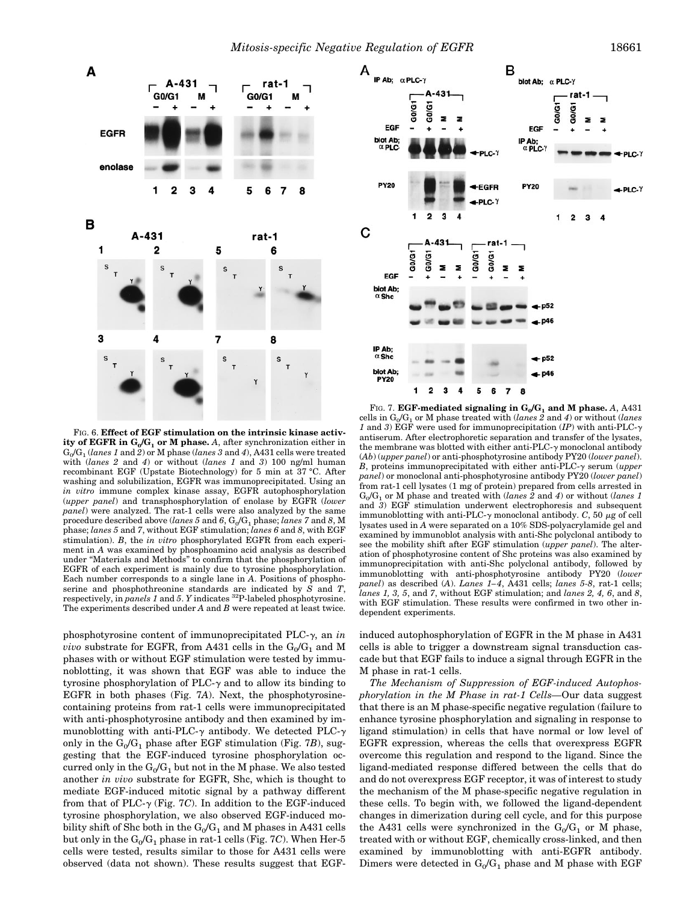

FIG. 6. **Effect of EGF stimulation on the intrinsic kinase activity of EGFR in G<sup>0</sup> /G<sup>1</sup> or M phase.** *A*, after synchronization either in  $G_0/G_1$  (*lanes 1* and *2*) or M phase (*lanes 3* and *4*), A431 cells were treated with (*lanes 2* and *4*) or without (*lanes 1* and *3*) 100 ng/ml human recombinant EGF (Upstate Biotechnology) for 5 min at 37 °C. After washing and solubilization, EGFR was immunoprecipitated. Using an *in vitro* immune complex kinase assay, EGFR autophosphorylation (*upper panel*) and transphosphorylation of enolase by EGFR (*lower panel*) were analyzed. The rat-1 cells were also analyzed by the same  $p$ rocedure described above (*lanes 5* and  $6$ ,  $G_0/G_1$   $p$ hase; *lanes 7* and  $8$ , M phase; *lanes 5* and *7*, without EGF stimulation; *lanes 6* and *8*, with EGF stimulation). *B*, the *in vitro* phosphorylated EGFR from each experiment in *A* was examined by phosphoamino acid analysis as described under "Materials and Methods" to confirm that the phosphorylation of EGFR of each experiment is mainly due to tyrosine phosphorylation. Each number corresponds to a single lane in *A*. Positions of phosphoserine and phosphothreonine standards are indicated by *S* and *T*, respectively, in *panels 1* and *5*. *Y* indicates <sup>32</sup>P-labeled phosphotyrosine. The experiments described under *A* and *B* were repeated at least twice.

phosphotyrosine content of immunoprecipitated PLC-g, an *in*  $vivo$  substrate for EGFR, from A431 cells in the  $\mathrm{G_{0}/G_{1}}$  and M phases with or without EGF stimulation were tested by immunoblotting, it was shown that EGF was able to induce the tyrosine phosphorylation of PLC- $\gamma$  and to allow its binding to EGFR in both phases (Fig. 7*A*). Next, the phosphotyrosinecontaining proteins from rat-1 cells were immunoprecipitated with anti-phosphotyrosine antibody and then examined by immunoblotting with anti-PLC- $\gamma$  antibody. We detected PLC- $\gamma$ only in the  $G_0/G_1$  phase after EGF stimulation (Fig. 7*B*), suggesting that the EGF-induced tyrosine phosphorylation occurred only in the  $\mathrm{G}_0/\mathrm{G}_1$  but not in the M phase. We also tested another *in vivo* substrate for EGFR, Shc, which is thought to mediate EGF-induced mitotic signal by a pathway different from that of PLC- $\gamma$  (Fig. 7*C*). In addition to the EGF-induced tyrosine phosphorylation, we also observed EGF-induced mobility shift of Shc both in the  $\mathrm{G_{0}/G_{1}}$  and M phases in A431 cells but only in the  $\mathrm{G_{0}/G_{1}}$  phase in rat-1 cells (Fig. 7*C*). When Her-5 cells were tested, results similar to those for A431 cells were observed (data not shown). These results suggest that EGF-



FIG. 7.  $\mathbf{EGF-mediated}$  signaling in  $\mathbf{G_0/G_1}$  and  $\mathbf{M}$  phase.  $A, A431$ cells in G<sup>0</sup> /G<sup>1</sup> or M phase treated with (*lanes 2* and *4*) or without (*lanes 1* and *3*) EGF were used for immunoprecipitation  $(IP)$  with anti-PLC- $\gamma$ antiserum. After electrophoretic separation and transfer of the lysates, the membrane was blotted with either anti-PLC- $\gamma$  monoclonal antibody (*Ab*) (*upper panel*) or anti-phosphotyrosine antibody PY20 (*lower panel*). *B*, proteins immunoprecipitated with either anti-PLC- $\gamma$  serum (*upper panel*) or monoclonal anti-phosphotyrosine antibody PY20 (*lower panel*) from rat-1 cell lysates (1 mg of protein) prepared from cells arrested in  $G_0/G_1$  or M phase and treated with (*lanes 2* and *4*) or without (*lanes 1*) and 3) EGF stimulation underwent electrophoresis and subsequent immunoblotting with anti-PLC- $\gamma$  monoclonal antibody. *C*, 50  $\mu$ g of cell lysates used in *A* were separated on a 10% SDS-polyacrylamide gel and examined by immunoblot analysis with anti-Shc polyclonal antibody to see the mobility shift after EGF stimulation (*upper panel*). The alteration of phosphotyrosine content of Shc proteins was also examined by immunoprecipitation with anti-Shc polyclonal antibody, followed by immunoblotting with anti-phosphotyrosine antibody PY20 (*lower panel*) as described (*A*). *Lanes 1–4*, A431 cells; *lanes 5-8*, rat-1 cells; *lanes 1, 3, 5*, and *7*, without EGF stimulation; and *lanes 2, 4, 6*, and *8*, with EGF stimulation. These results were confirmed in two other independent experiments.

induced autophosphorylation of EGFR in the M phase in A431 cells is able to trigger a downstream signal transduction cascade but that EGF fails to induce a signal through EGFR in the M phase in rat-1 cells.

*The Mechanism of Suppression of EGF-induced Autophosphorylation in the M Phase in rat-1 Cells—*Our data suggest that there is an M phase-specific negative regulation (failure to enhance tyrosine phosphorylation and signaling in response to ligand stimulation) in cells that have normal or low level of EGFR expression, whereas the cells that overexpress EGFR overcome this regulation and respond to the ligand. Since the ligand-mediated response differed between the cells that do and do not overexpress EGF receptor, it was of interest to study the mechanism of the M phase-specific negative regulation in these cells. To begin with, we followed the ligand-dependent changes in dimerization during cell cycle, and for this purpose the A431 cells were synchronized in the  $G_0/G_1$  or M phase, treated with or without EGF, chemically cross-linked, and then examined by immunoblotting with anti-EGFR antibody. Dimers were detected in  $\mathrm{G_{0} / G_{1}}$  phase and M phase with EGF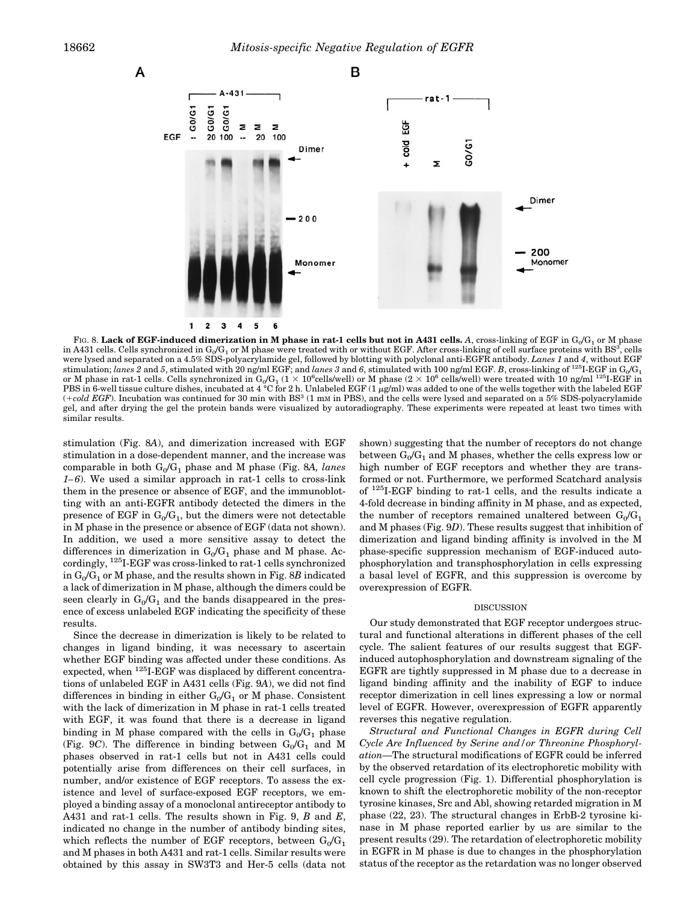A



F1G. 8. **Lack of EGF-induced dimerization in M phase in rat-1 cells but not in A431 cells.**  $A$ **, cross-linking of EGF in**  $\mathrm{G}_0/\mathrm{G}_1$  **or M phase** in A431 cells. Cells synchronized in G<sub>0</sub>/G<sub>1</sub> or M phase were treated with or without EGF. After cross-linking of cell surface proteins with BS<sup>3</sup>, cells were lysed and separated on a 4.5% SDS-polyacrylamide gel, followed by blotting with polyclonal anti-EGFR antibody. *Lanes 1* and *4*, without EGF  $s$ stimulation; *lanes 2* and *5*, stimulated with 20 ng/ml EGF; and *lanes 3* and *6*, stimulated with 100 ng/ml EGF. *B*, cross-linking of <sup>125</sup>I-EGF in  $\mathrm{G}_0/\mathrm{G}_1$ or M phase in rat-1 cells. Cells synchronized in  $G_0/G_1$  (1  $\times$  10<sup>6</sup>cells/well) or M phase (2  $\times$  10<sup>6</sup> cells/well) were treated with 10 ng/ml <sup>125</sup>I-EGF in PBS in 6-well tissue culture dishes, incubated at 4 °C for 2 h. Unlabeled EGF (1  $\mu$ g/ml) was added to one of the wells together with the labeled EGF (+cold EGF). Incubation was continued for 30 min with BS<sup>3</sup> (1 mm in PBS), and the cells were lysed and separated on a 5% SDS-polyacrylamide gel, and after drying the gel the protein bands were visualized by autoradiography. These experiments were repeated at least two times with similar results.

stimulation (Fig. 8*A*), and dimerization increased with EGF stimulation in a dose-dependent manner, and the increase was comparable in both G<sup>0</sup> /G<sup>1</sup> phase and M phase (Fig. 8*A, lanes 1–6*). We used a similar approach in rat-1 cells to cross-link them in the presence or absence of EGF, and the immunoblotting with an anti-EGFR antibody detected the dimers in the presence of EGF in  $\mathrm{G_{0}/G_{1}}$ , but the dimers were not detectable in M phase in the presence or absence of EGF (data not shown). In addition, we used a more sensitive assay to detect the differences in dimerization in  $G_0/G_1$  phase and M phase. Accordingly,  $^{125}\mathrm{I\text{-}EGF}$  was cross-linked to rat-1 cells synchronized in  $\mathrm{G_{0}/G_{1}}$  or M phase, and the results shown in Fig. 8*B* indicated a lack of dimerization in M phase, although the dimers could be seen clearly in  $G_0/G_1$  and the bands disappeared in the presence of excess unlabeled EGF indicating the specificity of these results.

Since the decrease in dimerization is likely to be related to changes in ligand binding, it was necessary to ascertain whether EGF binding was affected under these conditions. As expected, when <sup>125</sup>I-EGF was displaced by different concentrations of unlabeled EGF in A431 cells (Fig. 9*A*), we did not find differences in binding in either  $G_0/G_1$  or M phase. Consistent with the lack of dimerization in M phase in rat-1 cells treated with EGF, it was found that there is a decrease in ligand binding in M phase compared with the cells in  $G_0/G_1$  phase (Fig. 9*C*). The difference in binding between  $G_0/G_1$  and M phases observed in rat-1 cells but not in A431 cells could potentially arise from differences on their cell surfaces, in number, and/or existence of EGF receptors. To assess the existence and level of surface-exposed EGF receptors, we employed a binding assay of a monoclonal antireceptor antibody to A431 and rat-1 cells. The results shown in Fig. 9, *B* and *E*, indicated no change in the number of antibody binding sites, which reflects the number of EGF receptors, between  $\mathrm{G_{0} / G_{1}}$ and M phases in both A431 and rat-1 cells. Similar results were obtained by this assay in SW3T3 and Her-5 cells (data not shown) suggesting that the number of receptors do not change between  $\mathrm{G_{0}/G_{1}}$  and M phases, whether the cells express low or high number of EGF receptors and whether they are transformed or not. Furthermore, we performed Scatchard analysis of <sup>125</sup>I-EGF binding to rat-1 cells, and the results indicate a 4-fold decrease in binding affinity in M phase, and as expected, the number of receptors remained unaltered between  $\mathrm{G_{0} / G_{1}}$ and M phases (Fig. 9*D*). These results suggest that inhibition of dimerization and ligand binding affinity is involved in the M phase-specific suppression mechanism of EGF-induced autophosphorylation and transphosphorylation in cells expressing a basal level of EGFR, and this suppression is overcome by overexpression of EGFR.

### DISCUSSION

Our study demonstrated that EGF receptor undergoes structural and functional alterations in different phases of the cell cycle. The salient features of our results suggest that EGFinduced autophosphorylation and downstream signaling of the EGFR are tightly suppressed in M phase due to a decrease in ligand binding affinity and the inability of EGF to induce receptor dimerization in cell lines expressing a low or normal level of EGFR. However, overexpression of EGFR apparently reverses this negative regulation.

*Structural and Functional Changes in EGFR during Cell Cycle Are Influenced by Serine and/or Threonine Phosphorylation—*The structural modifications of EGFR could be inferred by the observed retardation of its electrophoretic mobility with cell cycle progression (Fig. 1). Differential phosphorylation is known to shift the electrophoretic mobility of the non-receptor tyrosine kinases, Src and Abl, showing retarded migration in M phase (22, 23). The structural changes in ErbB-2 tyrosine kinase in M phase reported earlier by us are similar to the present results (29). The retardation of electrophoretic mobility in EGFR in M phase is due to changes in the phosphorylation status of the receptor as the retardation was no longer observed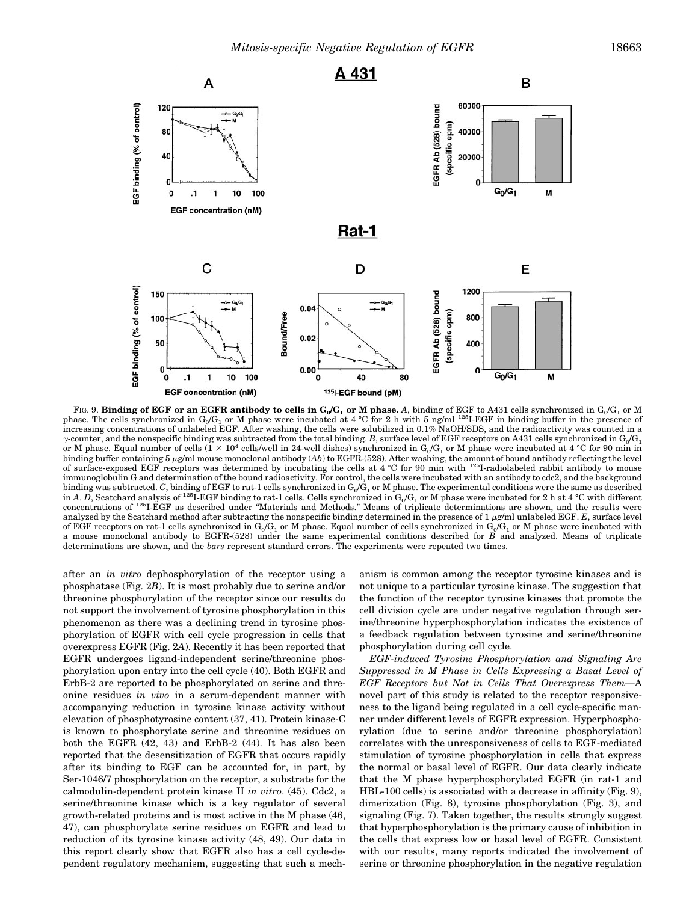

F1G. 9. **Binding of EGF or an EGFR antibody to cells in**  $G_0/G_1$  **or M phase. A, binding of EGF to A431 cells synchronized in**  $G_0/G_1$  **or M** phase. The cells synchronized in  $G_0/G_1$  or M phase were incubated at 4 °C for 2 h with 5 ng/ml <sup>125</sup>I-EGF in binding buffer in the presence of increasing concentrations of unlabeled EGF. After washing, the cells were solubilized in 0.1% NaOH/SDS, and the radioactivity was counted in a  $\gamma$ -counter, and the nonspecific binding was subtracted from the total binding. B, surface level of EGF receptors on A431 cells synchronized in G<sub>0</sub>/G<sub>1</sub> or M phase. Equal number of cells ( $\rm I \times 10^4$  cells/well in 24-well dishes) synchronized in G<sub>0</sub>/G<sub>1</sub> or M phase were incubated at 4 °C for 90 min in binding buffer containing 5 µg/ml mouse monoclonal antibody (Ab) to EGFR-(528). After washing, the amount of bound antibody reflecting the level<br>of surface-exposed EGF receptors was determined by incubating the cells at 4 immunoglobulin G and determination of the bound radioactivity. For control, the cells were incubated with an antibody to cdc2, and the background binding was subtracted.  $C$ , binding of EGF to rat-1 cells synchronized in  $\mathrm{G}_0/\mathrm{G}_1$  or M phase. The experimental conditions were the same as described in *A*. *D*, Scatchard analysis of <sup>125</sup>I-EGF binding to rat-1 cells. Cells synchronized in G<sub>0</sub>/G<sub>1</sub> or M phase were incubated for 2 h at 4 °C with different concentrations of <sup>125</sup>I-EGF as described under "Materials and Methods." Means of triplicate determinations are shown, and the results were analyzed by the Scatchard method after subtracting the nonspecific binding determined in the presence of  $1 \mu g/m$ l unlabeled EGF.  $E$ , surface level of EGF receptors on rat-1 cells synchronized in  $\mathrm{G}_{\mathrm{0}}/\mathrm{G}_{1}$  or M phase. Equal number of cells synchronized in  $\mathrm{G}_{\mathrm{0}}/\mathrm{G}_{1}$  or M phase were incubated with a mouse monoclonal antibody to EGFR-(528) under the same experimental conditions described for *B* and analyzed. Means of triplicate determinations are shown, and the *bars* represent standard errors. The experiments were repeated two times.

after an *in vitro* dephosphorylation of the receptor using a phosphatase (Fig. 2*B*). It is most probably due to serine and/or threonine phosphorylation of the receptor since our results do not support the involvement of tyrosine phosphorylation in this phenomenon as there was a declining trend in tyrosine phosphorylation of EGFR with cell cycle progression in cells that overexpress EGFR (Fig. 2*A*). Recently it has been reported that EGFR undergoes ligand-independent serine/threonine phosphorylation upon entry into the cell cycle (40). Both EGFR and ErbB-2 are reported to be phosphorylated on serine and threonine residues *in vivo* in a serum-dependent manner with accompanying reduction in tyrosine kinase activity without elevation of phosphotyrosine content (37, 41). Protein kinase-C is known to phosphorylate serine and threonine residues on both the EGFR (42, 43) and ErbB-2 (44). It has also been reported that the desensitization of EGFR that occurs rapidly after its binding to EGF can be accounted for, in part, by Ser-1046/7 phosphorylation on the receptor, a substrate for the calmodulin-dependent protein kinase II *in vitro*. (45). Cdc2, a serine/threonine kinase which is a key regulator of several growth-related proteins and is most active in the M phase (46, 47), can phosphorylate serine residues on EGFR and lead to reduction of its tyrosine kinase activity (48, 49). Our data in this report clearly show that EGFR also has a cell cycle-dependent regulatory mechanism, suggesting that such a mechanism is common among the receptor tyrosine kinases and is not unique to a particular tyrosine kinase. The suggestion that the function of the receptor tyrosine kinases that promote the cell division cycle are under negative regulation through serine/threonine hyperphosphorylation indicates the existence of a feedback regulation between tyrosine and serine/threonine phosphorylation during cell cycle.

*EGF-induced Tyrosine Phosphorylation and Signaling Are Suppressed in M Phase in Cells Expressing a Basal Level of EGF Receptors but Not in Cells That Overexpress Them—*A novel part of this study is related to the receptor responsiveness to the ligand being regulated in a cell cycle-specific manner under different levels of EGFR expression. Hyperphosphorylation (due to serine and/or threonine phosphorylation) correlates with the unresponsiveness of cells to EGF-mediated stimulation of tyrosine phosphorylation in cells that express the normal or basal level of EGFR. Our data clearly indicate that the M phase hyperphosphorylated EGFR (in rat-1 and HBL-100 cells) is associated with a decrease in affinity (Fig. 9), dimerization (Fig. 8), tyrosine phosphorylation (Fig. 3), and signaling (Fig. 7). Taken together, the results strongly suggest that hyperphosphorylation is the primary cause of inhibition in the cells that express low or basal level of EGFR. Consistent with our results, many reports indicated the involvement of serine or threonine phosphorylation in the negative regulation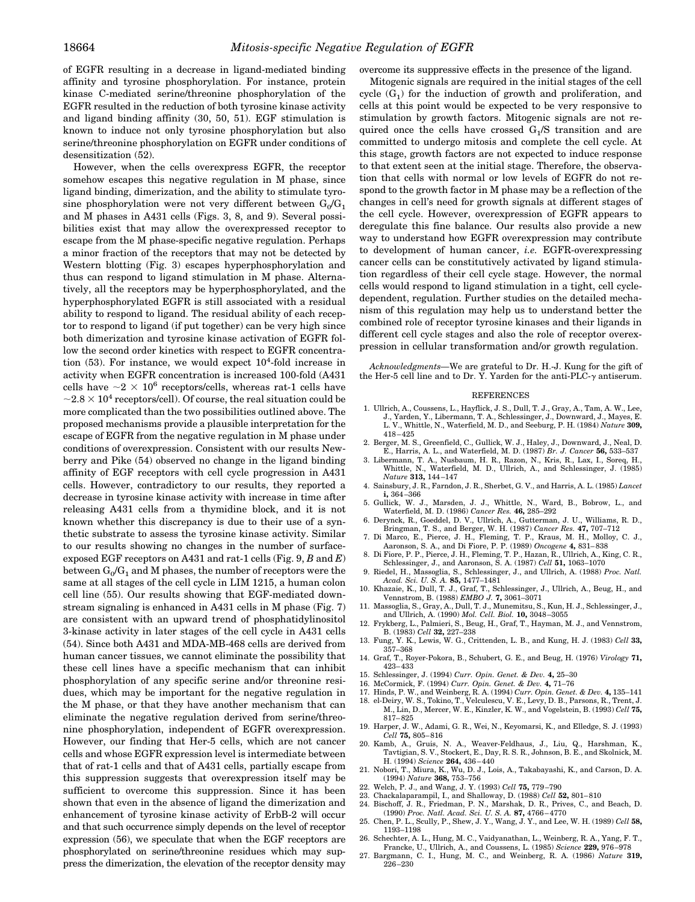of EGFR resulting in a decrease in ligand-mediated binding affinity and tyrosine phosphorylation. For instance, protein kinase C-mediated serine/threonine phosphorylation of the EGFR resulted in the reduction of both tyrosine kinase activity and ligand binding affinity (30, 50, 51). EGF stimulation is known to induce not only tyrosine phosphorylation but also serine/threonine phosphorylation on EGFR under conditions of desensitization (52).

However, when the cells overexpress EGFR, the receptor somehow escapes this negative regulation in M phase, since ligand binding, dimerization, and the ability to stimulate tyrosine phosphorylation were not very different between  $G_0/G_1$ and M phases in A431 cells (Figs. 3, 8, and 9). Several possibilities exist that may allow the overexpressed receptor to escape from the M phase-specific negative regulation. Perhaps a minor fraction of the receptors that may not be detected by Western blotting (Fig. 3) escapes hyperphosphorylation and thus can respond to ligand stimulation in M phase. Alternatively, all the receptors may be hyperphosphorylated, and the hyperphosphorylated EGFR is still associated with a residual ability to respond to ligand. The residual ability of each receptor to respond to ligand (if put together) can be very high since both dimerization and tyrosine kinase activation of EGFR follow the second order kinetics with respect to EGFR concentration  $(53)$ . For instance, we would expect  $10<sup>4</sup>$ -fold increase in activity when EGFR concentration is increased 100-fold (A431 cells have  $\sim$ 2  $\times$  10<sup>6</sup> receptors/cells, whereas rat-1 cells have  $\sim$ 2.8  $\times$  10<sup>4</sup> receptors/cell). Of course, the real situation could be more complicated than the two possibilities outlined above. The proposed mechanisms provide a plausible interpretation for the escape of EGFR from the negative regulation in M phase under conditions of overexpression. Consistent with our results Newberry and Pike (54) observed no change in the ligand binding affinity of EGF receptors with cell cycle progression in A431 cells. However, contradictory to our results, they reported a decrease in tyrosine kinase activity with increase in time after releasing A431 cells from a thymidine block, and it is not known whether this discrepancy is due to their use of a synthetic substrate to assess the tyrosine kinase activity. Similar to our results showing no changes in the number of surfaceexposed EGF receptors on A431 and rat-1 cells (Fig. 9, *B* and *E*) between  $\mathrm{G}_{0}/\mathrm{G}_{1}$  and M phases, the number of receptors were the same at all stages of the cell cycle in LIM 1215, a human colon cell line (55). Our results showing that EGF-mediated downstream signaling is enhanced in A431 cells in M phase (Fig. 7) are consistent with an upward trend of phosphatidylinositol 3-kinase activity in later stages of the cell cycle in A431 cells (54). Since both A431 and MDA-MB-468 cells are derived from human cancer tissues, we cannot eliminate the possibility that these cell lines have a specific mechanism that can inhibit phosphorylation of any specific serine and/or threonine residues, which may be important for the negative regulation in the M phase, or that they have another mechanism that can eliminate the negative regulation derived from serine/threonine phosphorylation, independent of EGFR overexpression. However, our finding that Her-5 cells, which are not cancer cells and whose EGFR expression level is intermediate between that of rat-1 cells and that of A431 cells, partially escape from this suppression suggests that overexpression itself may be sufficient to overcome this suppression. Since it has been shown that even in the absence of ligand the dimerization and enhancement of tyrosine kinase activity of ErbB-2 will occur and that such occurrence simply depends on the level of receptor expression (56), we speculate that when the EGF receptors are phosphorylated on serine/threonine residues which may suppress the dimerization, the elevation of the receptor density may

overcome its suppressive effects in the presence of the ligand.

Mitogenic signals are required in the initial stages of the cell cycle  $(G_1)$  for the induction of growth and proliferation, and cells at this point would be expected to be very responsive to stimulation by growth factors. Mitogenic signals are not required once the cells have crossed  $G_1/S$  transition and are committed to undergo mitosis and complete the cell cycle. At this stage, growth factors are not expected to induce response to that extent seen at the initial stage. Therefore, the observation that cells with normal or low levels of EGFR do not respond to the growth factor in M phase may be a reflection of the changes in cell's need for growth signals at different stages of the cell cycle. However, overexpression of EGFR appears to deregulate this fine balance. Our results also provide a new way to understand how EGFR overexpression may contribute to development of human cancer, *i.e.* EGFR-overexpressing cancer cells can be constitutively activated by ligand stimulation regardless of their cell cycle stage. However, the normal cells would respond to ligand stimulation in a tight, cell cycledependent, regulation. Further studies on the detailed mechanism of this regulation may help us to understand better the combined role of receptor tyrosine kinases and their ligands in different cell cycle stages and also the role of receptor overexpression in cellular transformation and/or growth regulation.

*Acknowledgments—*We are grateful to Dr. H.-J. Kung for the gift of the Her-5 cell line and to Dr. Y. Yarden for the anti-PLC- $\gamma$  antiserum.

#### **REFERENCES**

- 1. Ullrich, A., Coussens, L., Hayflick, J. S., Dull, T. J., Gray, A., Tam, A. W., Lee, J., Yarden, Y., Libermann, T. A., Schlessinger, J., Downward, J., Mayes, E. L. V., Whittle, N., Waterfield, M. D., and Seeburg, P. H. (1984) *Nature* **309,** 418–425
- 2. Berger, M. S., Greenfield, C., Gullick, W. J., Haley, J., Downward, J., Neal, D. E., Harris, A. L., and Waterfield, M. D. (1987) *Br. J. Cancer* **56,** 533–537
- 3. Libermann, T. A., Nusbaum, H. R., Razon, N., Kris, R., Lax, I., Soreq, H., Whittle, N., Waterfield, M. D., Ullrich, A., and Schlessinger, J. (1985) *Nature* **313,** 144–147
- 4. Sainsbury, J. R., Farndon, J. R., Sherbet, G. V., and Harris, A. L. (1985) *Lancet* **i,** 364–366
- 5. Gullick, W. J., Marsden, J. J., Whittle, N., Ward, B., Bobrow, L., and Waterfield, M. D. (1986) *Cancer Res.* **46,** 285–292
- 6. Derynck, R., Goeddel, D. V., Ullrich, A., Gutterman, J. U., Williams, R. D., Bringman, T. S., and Berger, W. H. (1987) *Cancer Res.* **47,** 707–712
- 7. Di Marco, E., Pierce, J. H., Fleming, T. P., Kraus, M. H., Molloy, C. J., Aaronson, S. A., and Di Fiore, P. P. (1989) *Oncogene* **4,** 831–838
- 8. Di Fiore, P. P., Pierce, J. H., Fleming, T. P., Hazan, R., Ullrich, A., King, C. R., Schlessinger, J., and Aaronson, S. A. (1987) *Cell* **51,** 1063–1070
- 9. Riedel, H., Massoglia, S., Schlessinger, J., and Ullrich, A. (1988) *Proc. Natl. Acad. Sci. U. S. A.* **85,** 1477–1481
- 10. Khazaie, K., Dull, T. J., Graf, T., Schlessinger, J., Ullrich, A., Beug, H., and Vennstrom, B. (1988) *EMBO J.* **7,** 3061–3071
- 11. Massoglia, S., Gray, A., Dull, T. J., Munemitsu, S., Kun, H. J., Schlessinger, J., and Ullrich, A. (1990) *Mol. Cell. Biol.* **10,** 3048–3055
- 12. Frykberg, L., Palmieri, S., Beug, H., Graf, T., Hayman, M. J., and Vennstrom, B. (1983) *Cell* **32,** 227–238
- 13. Fung, Y. K., Lewis, W. G., Crittenden, L. B., and Kung, H. J. (1983) *Cell* **33,** 357–368
- 14. Graf, T., Royer-Pokora, B., Schubert, G. E., and Beug, H. (1976) *Virology* **71,** 423–433
- 15. Schlessinger, J. (1994) *Curr. Opin. Genet. & Dev.* **4,** 25–30
- 16. McCormick, F. (1994) *Curr. Opin. Genet. & Dev.* **4,** 71–76
- 
- 17. Hinds, P. W., and Weinberg, R. A. (1994) *Curr. Opin. Genet. & Dev.* **4,** 135–141 18. el-Deiry, W. S., Tokino, T., Velculescu, V. E., Levy, D. B., Parsons, R., Trent, J. M., Lin, D., Mercer, W. E., Kinzler, K. W., and Vogelstein, B. (1993) *Cell* **75,** 817–825
- 19. Harper, J. W., Adami, G. R., Wei, N., Keyomarsi, K., and Elledge, S. J. (1993) *Cell* **75,** 805–816
- 20. Kamb, A., Gruis, N. A., Weaver-Feldhaus, J., Liu, Q., Harshman, K., Tavtigian, S. V., Stockert, E., Day, R. S. R., Johnson, B. E., and Skolnick, M. H. (1994) *Science* **264,** 436–440
- 21. Nobori, T., Miura, K., Wu, D. J., Lois, A., Takabayashi, K., and Carson, D. A. (1994) *Nature* **368,** 753–756
- 22. Welch, P. J., and Wang, J. Y. (1993) *Cell* **75,** 779–790
- 23. Chackalaparampil, I., and Shalloway, D. (1988) *Cell* **52,** 801–810 24. Bischoff, J. R., Friedman, P. N., Marshak, D. R., Prives, C., and Beach, D.
- (1990) *Proc. Natl. Acad. Sci. U. S. A.* **87,** 4766–4770 25. Chen, P. L., Scully, P., Shew, J. Y., Wang, J. Y., and Lee, W. H. (1989) *Cell* **58,**
- 1193–1198 26. Schechter, A. L., Hung, M. C., Vaidyanathan, L., Weinberg, R. A., Yang, F. T.,
- Francke, U., Ullrich, A., and Coussens, L. (1985) *Science* **229,** 976–978
- 27. Bargmann, C. I., Hung, M. C., and Weinberg, R. A. (1986) *Nature* **319,** 226–230